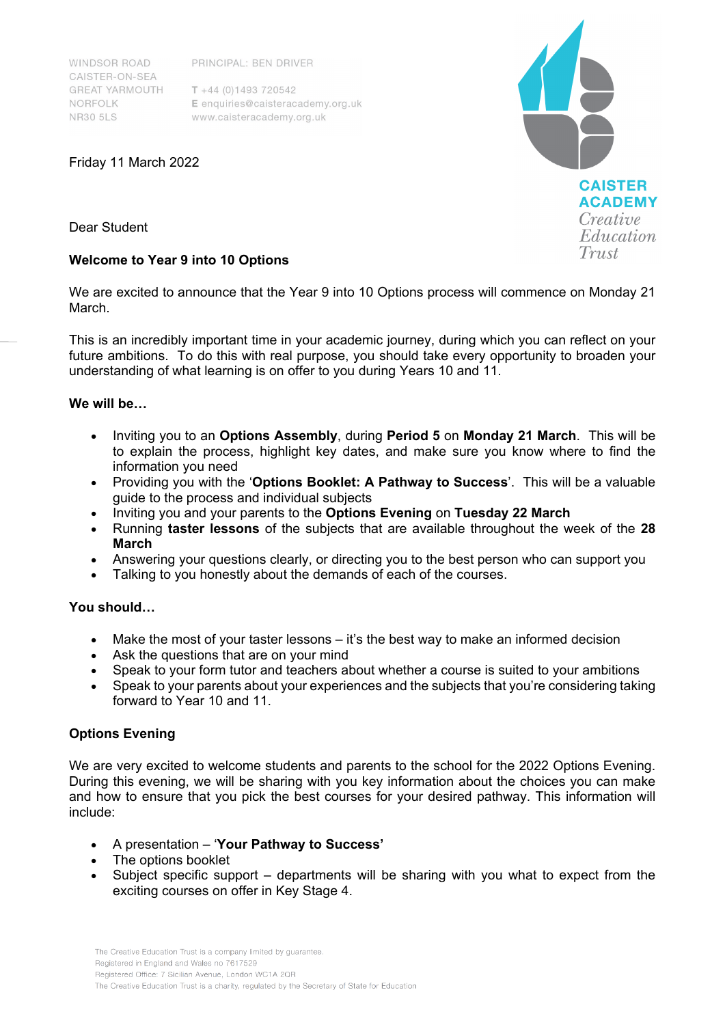**WINDSOR ROAD** CAISTER-ON-SEA **GREAT YARMOUTH** NORFOLK **NR30 5LS** 

PRINCIPAL: BEN DRIVER

 $T + 44(0)1493720542$ E enquiries@caisteracademy.org.uk www.caisteracademy.org.uk

**CAISTER ACADEMY** Creative Education Trust

Friday 11 March 2022

Dear Student

# **Welcome to Year 9 into 10 Options**

We are excited to announce that the Year 9 into 10 Options process will commence on Monday 21 March.

This is an incredibly important time in your academic journey, during which you can reflect on your future ambitions. To do this with real purpose, you should take every opportunity to broaden your understanding of what learning is on offer to you during Years 10 and 11.

# **We will be…**

- Inviting you to an **Options Assembly**, during **Period 5** on **Monday 21 March**. This will be to explain the process, highlight key dates, and make sure you know where to find the information you need
- Providing you with the '**Options Booklet: A Pathway to Success**'. This will be a valuable guide to the process and individual subjects
- Inviting you and your parents to the **Options Evening** on **Tuesday 22 March**
- Running **taster lessons** of the subjects that are available throughout the week of the **28 March**
- Answering your questions clearly, or directing you to the best person who can support you
- Talking to you honestly about the demands of each of the courses.

# **You should…**

- Make the most of your taster lessons it's the best way to make an informed decision
- Ask the questions that are on your mind
- Speak to your form tutor and teachers about whether a course is suited to your ambitions
- Speak to your parents about your experiences and the subjects that you're considering taking forward to Year 10 and 11.

# **Options Evening**

We are very excited to welcome students and parents to the school for the 2022 Options Evening. During this evening, we will be sharing with you key information about the choices you can make and how to ensure that you pick the best courses for your desired pathway. This information will include:

- A presentation '**Your Pathway to Success'**
- The options booklet
- Subject specific support departments will be sharing with you what to expect from the exciting courses on offer in Key Stage 4.